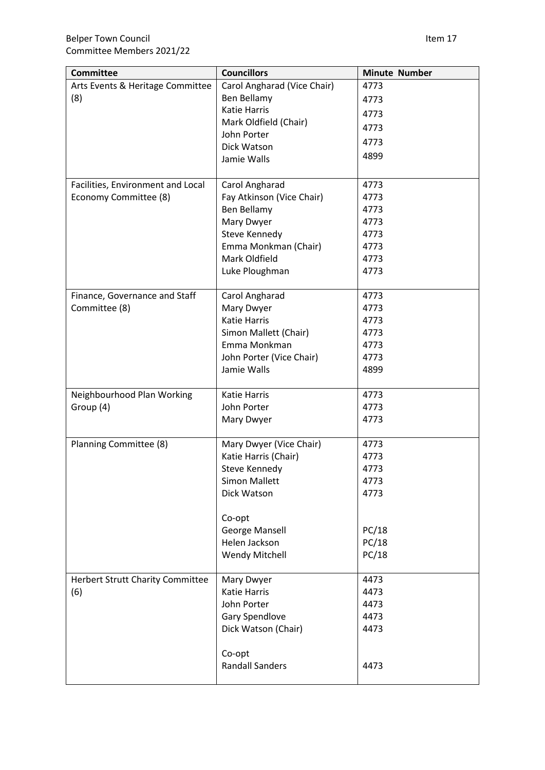| <b>Committee</b>                        | <b>Councillors</b>          | <b>Minute Number</b> |
|-----------------------------------------|-----------------------------|----------------------|
| Arts Events & Heritage Committee        | Carol Angharad (Vice Chair) | 4773                 |
| (8)                                     | Ben Bellamy                 | 4773                 |
|                                         | <b>Katie Harris</b>         | 4773                 |
|                                         | Mark Oldfield (Chair)       | 4773                 |
|                                         | John Porter                 | 4773                 |
|                                         | Dick Watson                 | 4899                 |
|                                         | Jamie Walls                 |                      |
| Facilities, Environment and Local       | Carol Angharad              | 4773                 |
| Economy Committee (8)                   | Fay Atkinson (Vice Chair)   | 4773                 |
|                                         | Ben Bellamy                 | 4773                 |
|                                         | Mary Dwyer                  | 4773                 |
|                                         | Steve Kennedy               | 4773                 |
|                                         | Emma Monkman (Chair)        | 4773                 |
|                                         | Mark Oldfield               | 4773                 |
|                                         | Luke Ploughman              | 4773                 |
| Finance, Governance and Staff           | Carol Angharad              | 4773                 |
| Committee (8)                           | Mary Dwyer                  | 4773                 |
|                                         | <b>Katie Harris</b>         | 4773                 |
|                                         | Simon Mallett (Chair)       | 4773                 |
|                                         | Emma Monkman                | 4773                 |
|                                         | John Porter (Vice Chair)    | 4773                 |
|                                         | Jamie Walls                 | 4899                 |
| Neighbourhood Plan Working              | <b>Katie Harris</b>         | 4773                 |
| Group (4)                               | John Porter                 | 4773                 |
|                                         | Mary Dwyer                  | 4773                 |
|                                         |                             |                      |
| Planning Committee (8)                  | Mary Dwyer (Vice Chair)     | 4773                 |
|                                         | Katie Harris (Chair)        | 4773                 |
|                                         | Steve Kennedy               | 4773                 |
|                                         | <b>Simon Mallett</b>        | 4773                 |
|                                         | Dick Watson                 | 4773                 |
|                                         | Co-opt                      |                      |
|                                         | <b>George Mansell</b>       | PC/18                |
|                                         | Helen Jackson               | PC/18                |
|                                         | <b>Wendy Mitchell</b>       | PC/18                |
| <b>Herbert Strutt Charity Committee</b> | Mary Dwyer                  | 4473                 |
| (6)                                     | <b>Katie Harris</b>         | 4473                 |
|                                         | John Porter                 | 4473                 |
|                                         | Gary Spendlove              | 4473                 |
|                                         | Dick Watson (Chair)         | 4473                 |
|                                         | Co-opt                      |                      |
|                                         | <b>Randall Sanders</b>      | 4473                 |
|                                         |                             |                      |